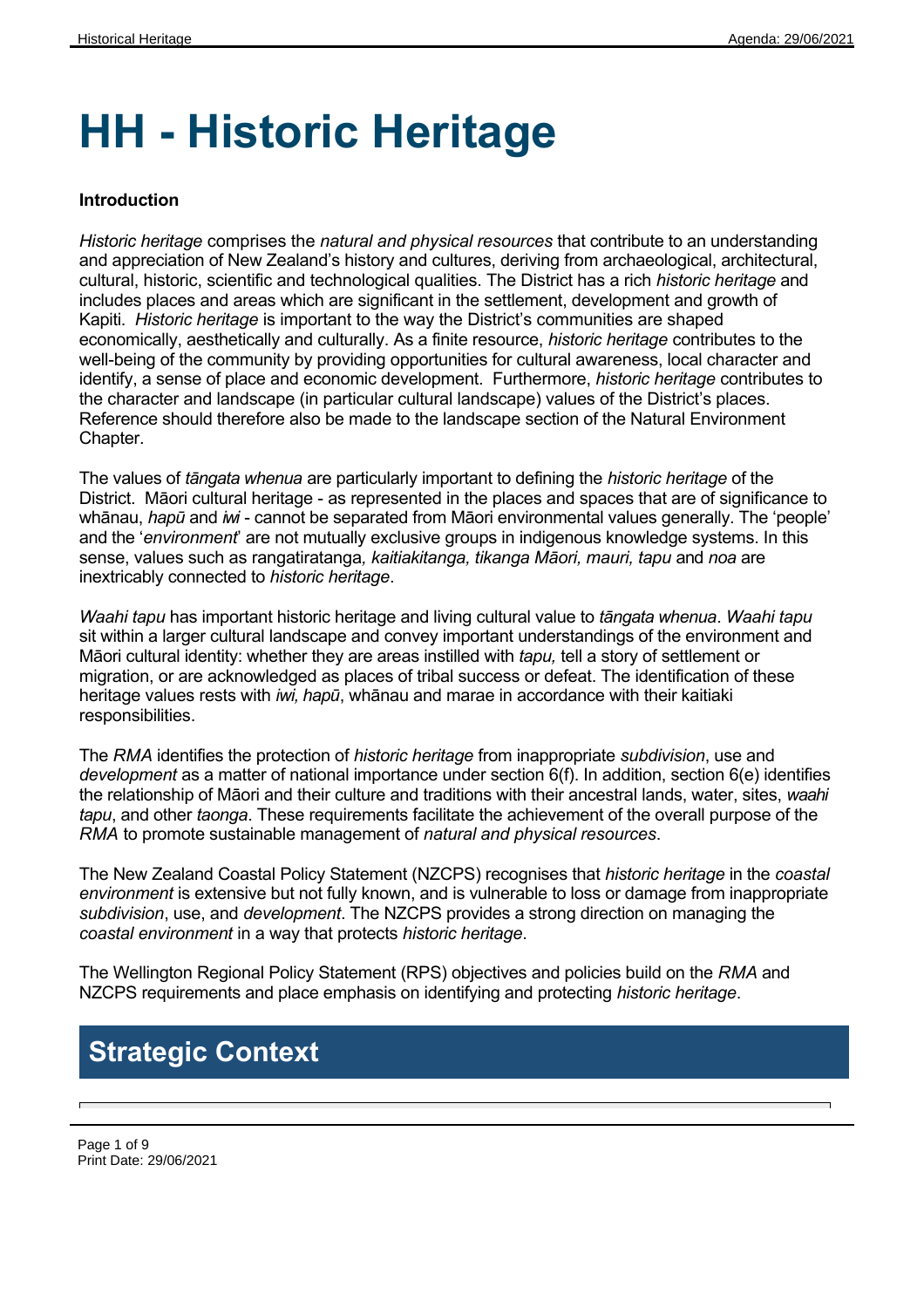# **HH - Historic Heritage**

#### **Introduction**

*Historic heritage* comprises the *natural and physical resources* that contribute to an understanding and appreciation of New Zealand's history and cultures, deriving from archaeological, architectural, cultural, historic, scientific and technological qualities. The District has a rich *historic heritage* and includes places and areas which are significant in the settlement, development and growth of Kapiti. *Historic heritage* is important to the way the District's communities are shaped economically, aesthetically and culturally. As a finite resource, *historic heritage* contributes to the well-being of the community by providing opportunities for cultural awareness, local character and identify, a sense of place and economic development. Furthermore, *historic heritage* contributes to the character and landscape (in particular cultural landscape) values of the District's places. Reference should therefore also be made to the landscape section of the Natural Environment Chapter.

The values of *tāngata whenua* are particularly important to defining the *historic heritage* of the District. Māori cultural heritage - as represented in the places and spaces that are of significance to whānau, *hapū* and *iwi* - cannot be separated from Māori environmental values generally. The 'people' and the '*environment*' are not mutually exclusive groups in indigenous knowledge systems. In this sense, values such as rangatiratanga*, kaitiakitanga, tikanga Māori, mauri, tapu* and *noa* are inextricably connected to *historic heritage*.

*Waahi tapu* has important historic heritage and living cultural value to *tāngata whenua*. *Waahi tapu* sit within a larger cultural landscape and convey important understandings of the environment and Māori cultural identity: whether they are areas instilled with *tapu,* tell a story of settlement or migration, or are acknowledged as places of tribal success or defeat. The identification of these heritage values rests with *iwi, hapū*, whānau and marae in accordance with their kaitiaki responsibilities.

The *RMA* identifies the protection of *historic heritage* from inappropriate *subdivision*, use and *development* as a matter of national importance under section 6(f). In addition, section 6(e) identifies the relationship of Māori and their culture and traditions with their ancestral lands, water, sites, *waahi tapu*, and other *taonga*. These requirements facilitate the achievement of the overall purpose of the *RMA* to promote sustainable management of *natural and physical resources*.

The New Zealand Coastal Policy Statement (NZCPS) recognises that *historic heritage* in the *coastal environment* is extensive but not fully known, and is vulnerable to loss or damage from inappropriate *subdivision*, use, and *development*. The NZCPS provides a strong direction on managing the *coastal environment* in a way that protects *historic heritage*.

The Wellington Regional Policy Statement (RPS) objectives and policies build on the *RMA* and NZCPS requirements and place emphasis on identifying and protecting *historic heritage*.

### **Strategic Context**

Page 1 of 9 Print Date: 29/06/2021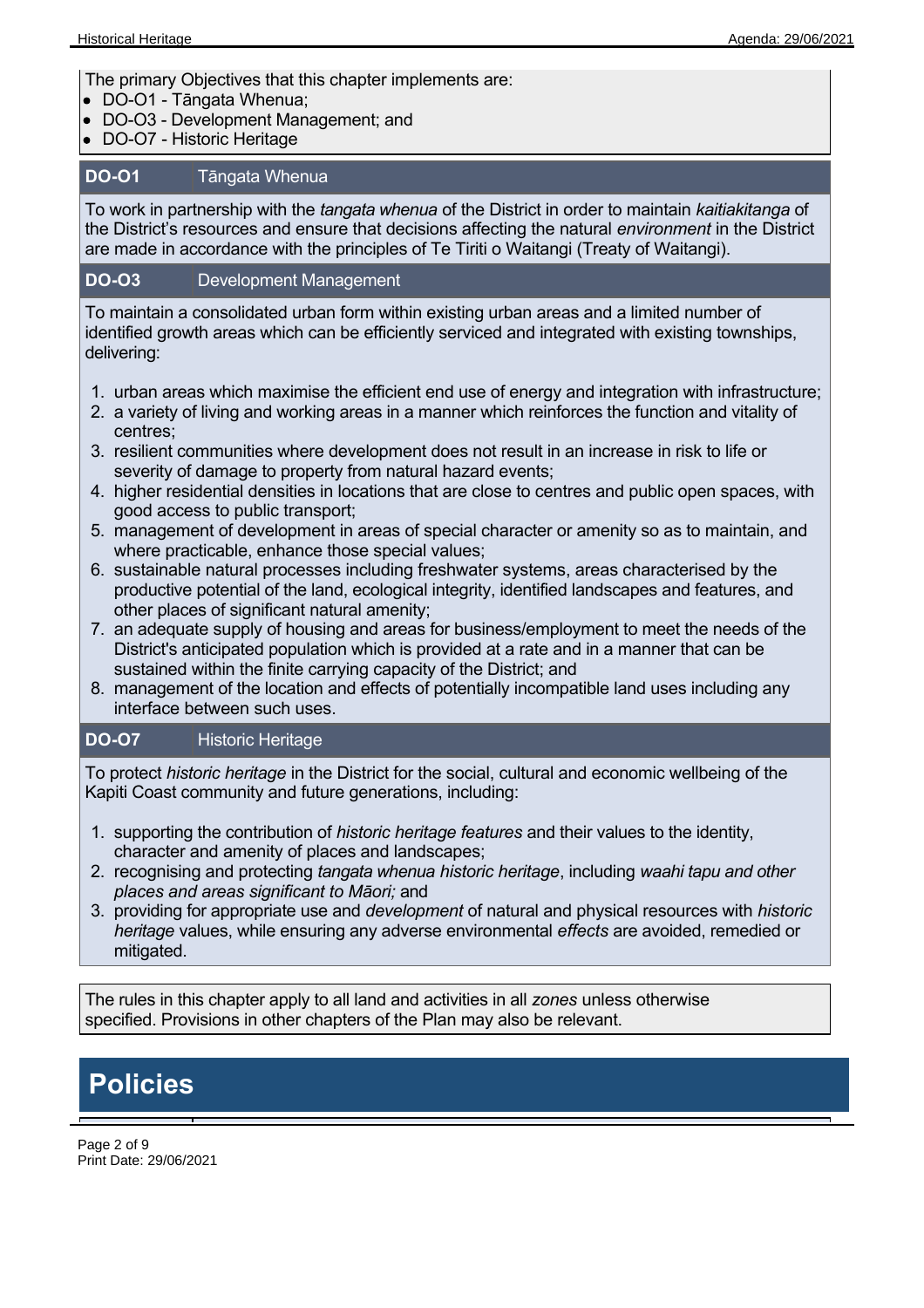The primary Objectives that this chapter implements are:

- DO-O1 Tāngata Whenua;
- DO-O3 Development Management; and
- DO-O7 Historic Heritage

### **DO-O1** Tāngata Whenua

To work in partnership with the *tangata whenua* of the District in order to maintain *kaitiakitanga* of the District's resources and ensure that decisions affecting the natural *environment* in the District are made in accordance with the principles of Te Tiriti o Waitangi (Treaty of Waitangi).

### **DO-O3** Development Management

To maintain a consolidated urban form within existing urban areas and a limited number of identified growth areas which can be efficiently serviced and integrated with existing townships, delivering:

- 1. urban areas which maximise the efficient end use of energy and integration with infrastructure;
- 2. a variety of living and working areas in a manner which reinforces the function and vitality of centres;
- 3. resilient communities where development does not result in an increase in risk to life or severity of damage to property from natural hazard events;
- 4. higher residential densities in locations that are close to centres and public open spaces, with good access to public transport;
- 5. management of development in areas of special character or amenity so as to maintain, and where practicable, enhance those special values;
- 6. sustainable natural processes including freshwater systems, areas characterised by the productive potential of the land, ecological integrity, identified landscapes and features, and other places of significant natural amenity;
- 7. an adequate supply of housing and areas for business/employment to meet the needs of the District's anticipated population which is provided at a rate and in a manner that can be sustained within the finite carrying capacity of the District; and
- 8. management of the location and effects of potentially incompatible land uses including any interface between such uses.

### **DO-O7** Historic Heritage

To protect *historic heritage* in the District for the social, cultural and economic wellbeing of the Kapiti Coast community and future generations, including:

- 1. supporting the contribution of *historic heritage features* and their values to the identity, character and amenity of places and landscapes;
- 2. recognising and protecting *tangata whenua historic heritage*, including *waahi tapu and other places and areas significant to Māori;* and
- 3. providing for appropriate use and *development* of natural and physical resources with *historic heritage* values, while ensuring any adverse environmental *effects* are avoided, remedied or mitigated.

The rules in this chapter apply to all land and activities in all *zones* unless otherwise specified. Provisions in other chapters of the Plan may also be relevant.

## **Policies**

Page 2 of 9 Print Date: 29/06/2021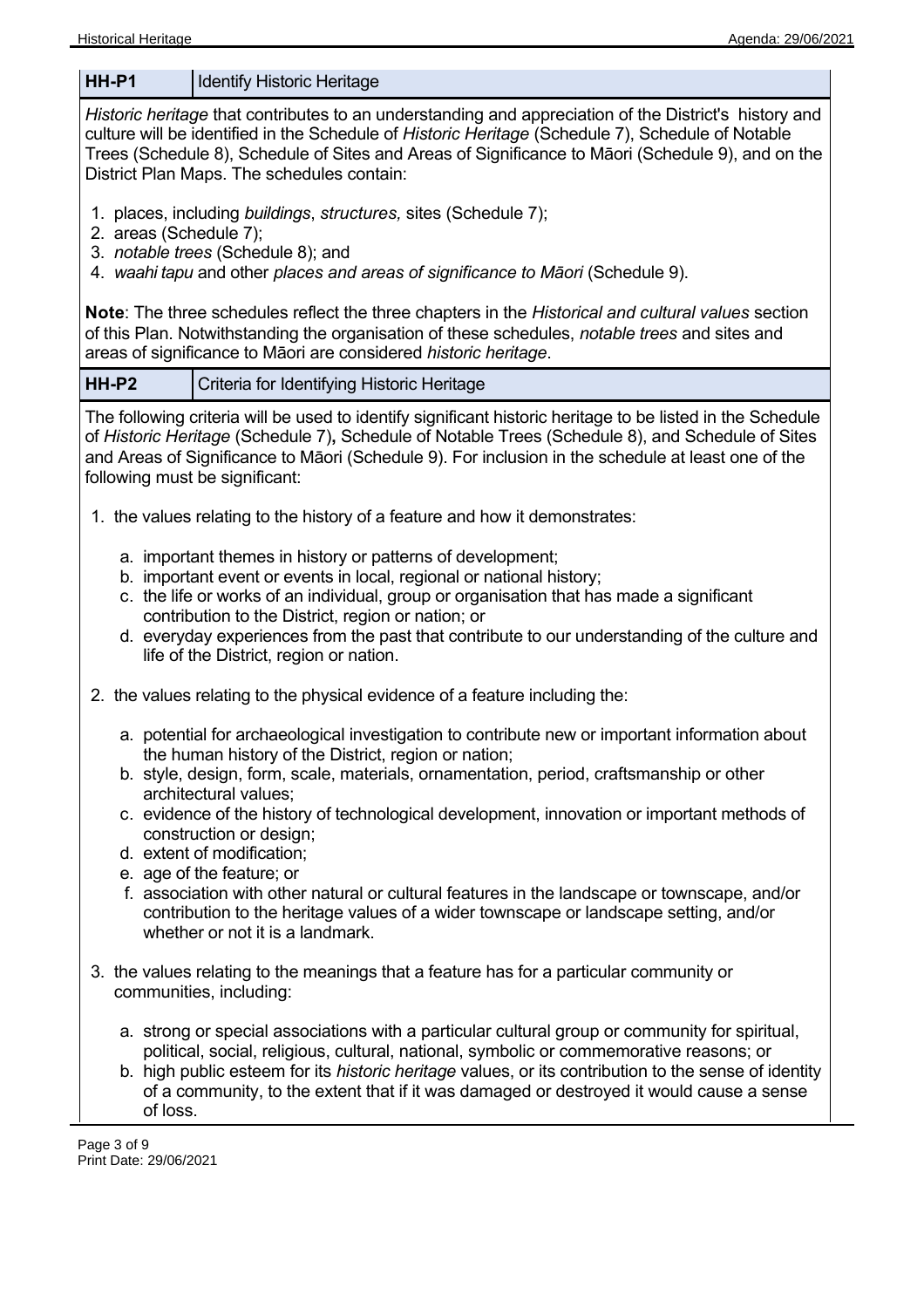#### Historical Heritage Agenda: 29/06/2021 News Agenda: 29/06/2021

**HH-P1** | Identify Historic Heritage *Historic heritage* that contributes to an understanding and appreciation of the District's history and culture will be identified in the Schedule of *Historic Heritage* (Schedule 7), Schedule of Notable Trees (Schedule 8), Schedule of Sites and Areas of Significance to Māori (Schedule 9), and on the District Plan Maps. The schedules contain: 1. places, including *buildings*, *structures,* sites (Schedule 7); 2. areas (Schedule 7); 3. *notable trees* (Schedule 8); and 4. *waahi tapu* and other *places and areas of significance to Māori* (Schedule 9). **Note**: The three schedules reflect the three chapters in the *Historical and cultural values* section of this Plan. Notwithstanding the organisation of these schedules, *notable trees* and sites and areas of significance to Māori are considered *historic heritage*. **HH-P2**  Criteria for Identifying Historic Heritage The following criteria will be used to identify significant historic heritage to be listed in the Schedule of *Historic Heritage* (Schedule 7)**,** Schedule of Notable Trees (Schedule 8), and Schedule of Sites and Areas of Significance to Māori (Schedule 9). For inclusion in the schedule at least one of the following must be significant: 1. the values relating to the history of a feature and how it demonstrates: a. important themes in history or patterns of development; b. important event or events in local, regional or national history; c. the life or works of an individual, group or organisation that has made a significant contribution to the District, region or nation; or d. everyday experiences from the past that contribute to our understanding of the culture and life of the District, region or nation. 2. the values relating to the physical evidence of a feature including the: a. potential for archaeological investigation to contribute new or important information about the human history of the District, region or nation; b. style, design, form, scale, materials, ornamentation, period, craftsmanship or other architectural values; c. evidence of the history of technological development, innovation or important methods of construction or design; d. extent of modification; e. age of the feature; or f. association with other natural or cultural features in the landscape or townscape, and/or contribution to the heritage values of a wider townscape or landscape setting, and/or whether or not it is a landmark. 3. the values relating to the meanings that a feature has for a particular community or communities, including: a. strong or special associations with a particular cultural group or community for spiritual, political, social, religious, cultural, national, symbolic or commemorative reasons; or b. high public esteem for its *historic heritage* values, or its contribution to the sense of identity of a community, to the extent that if it was damaged or destroyed it would cause a sense of loss. Page 3 of 9 Print Date: 29/06/2021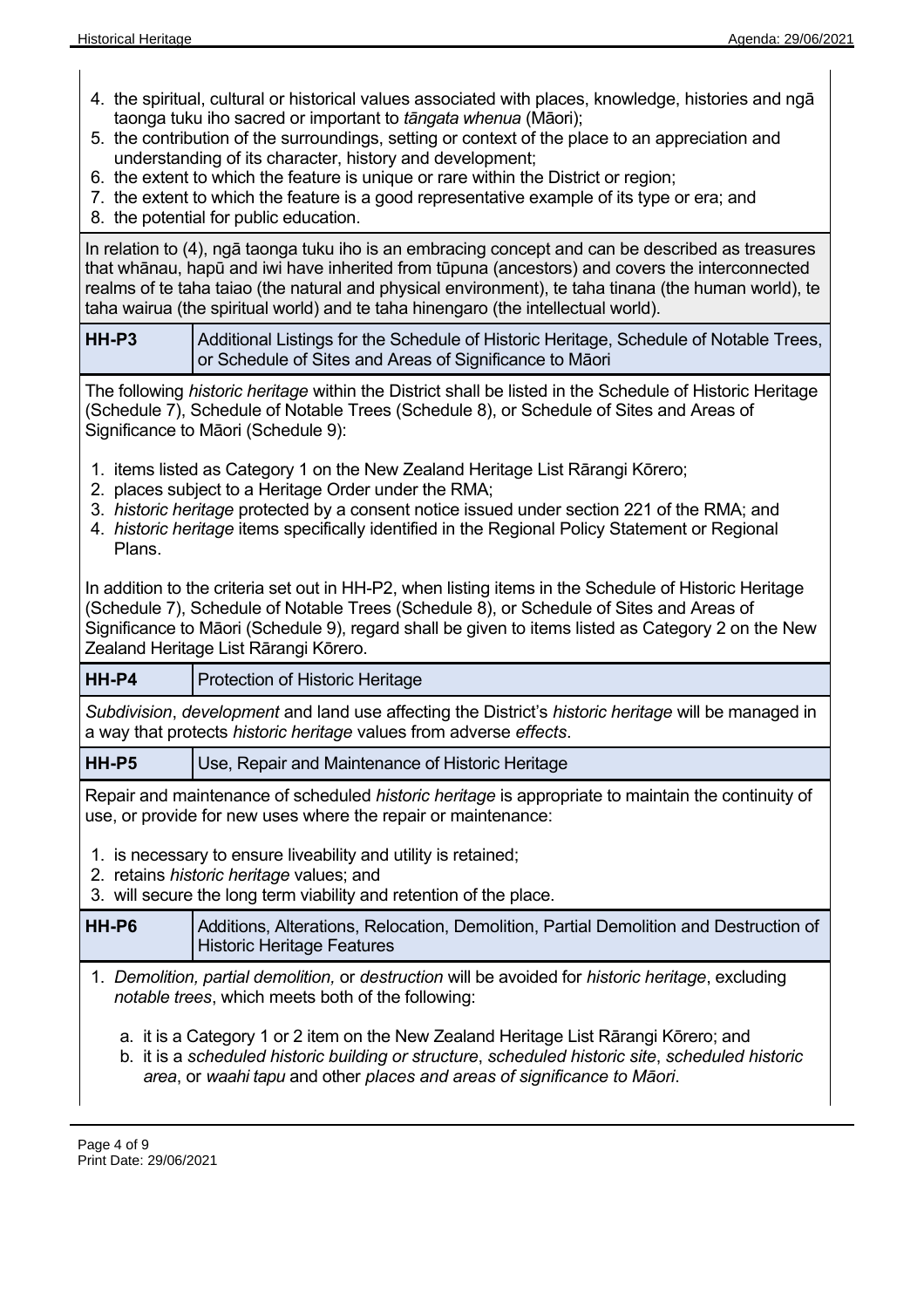- 4. the spiritual, cultural or historical values associated with places, knowledge, histories and ngā taonga tuku iho sacred or important to *tāngata whenua* (Māori);
- 5. the contribution of the surroundings, setting or context of the place to an appreciation and understanding of its character, history and development;
- 6. the extent to which the feature is unique or rare within the District or region;
- 7. the extent to which the feature is a good representative example of its type or era; and
- 8. the potential for public education.

In relation to (4), ngā taonga tuku iho is an embracing concept and can be described as treasures that whānau, hapū and iwi have inherited from tūpuna (ancestors) and covers the interconnected realms of te taha taiao (the natural and physical environment), te taha tinana (the human world), te taha wairua (the spiritual world) and te taha hinengaro (the intellectual world).

**HH-P3** Additional Listings for the Schedule of Historic Heritage, Schedule of Notable Trees, or Schedule of Sites and Areas of Significance to Māori

The following *historic heritage* within the District shall be listed in the Schedule of Historic Heritage (Schedule 7), Schedule of Notable Trees (Schedule 8), or Schedule of Sites and Areas of Significance to Māori (Schedule 9):

- 1. items listed as Category 1 on the New Zealand Heritage List Rārangi Kōrero;
- 2. places subject to a Heritage Order under the RMA;
- 3. *historic heritage* protected by a consent notice issued under section 221 of the RMA; and
- 4. *historic heritage* items specifically identified in the Regional Policy Statement or Regional Plans.

In addition to the criteria set out in HH-P2, when listing items in the Schedule of Historic Heritage (Schedule 7), Schedule of Notable Trees (Schedule 8), or Schedule of Sites and Areas of Significance to Māori (Schedule 9), regard shall be given to items listed as Category 2 on the New Zealand Heritage List Rārangi Kōrero.

**HH-P4** Protection of Historic Heritage

*Subdivision*, *development* and land use affecting the District's *historic heritage* will be managed in a way that protects *historic heritage* values from adverse *effects*.

**HH-P5** Use, Repair and Maintenance of Historic Heritage

Repair and maintenance of scheduled *historic heritage* is appropriate to maintain the continuity of use, or provide for new uses where the repair or maintenance:

- 1. is necessary to ensure liveability and utility is retained;
- 2. retains *historic heritage* values; and

3. will secure the long term viability and retention of the place.

**HH-P6** Additions, Alterations, Relocation, Demolition, Partial Demolition and Destruction of Historic Heritage Features

- 1. *Demolition, partial demolition,* or *destruction* will be avoided for *historic heritage*, excluding *notable trees*, which meets both of the following:
	- a. it is a Category 1 or 2 item on the New Zealand Heritage List Rārangi Kōrero; and
	- b. it is a *scheduled historic building or structure*, *scheduled historic site*, *scheduled historic area*, or *waahi tapu* and other *places and areas of significance to Māori*.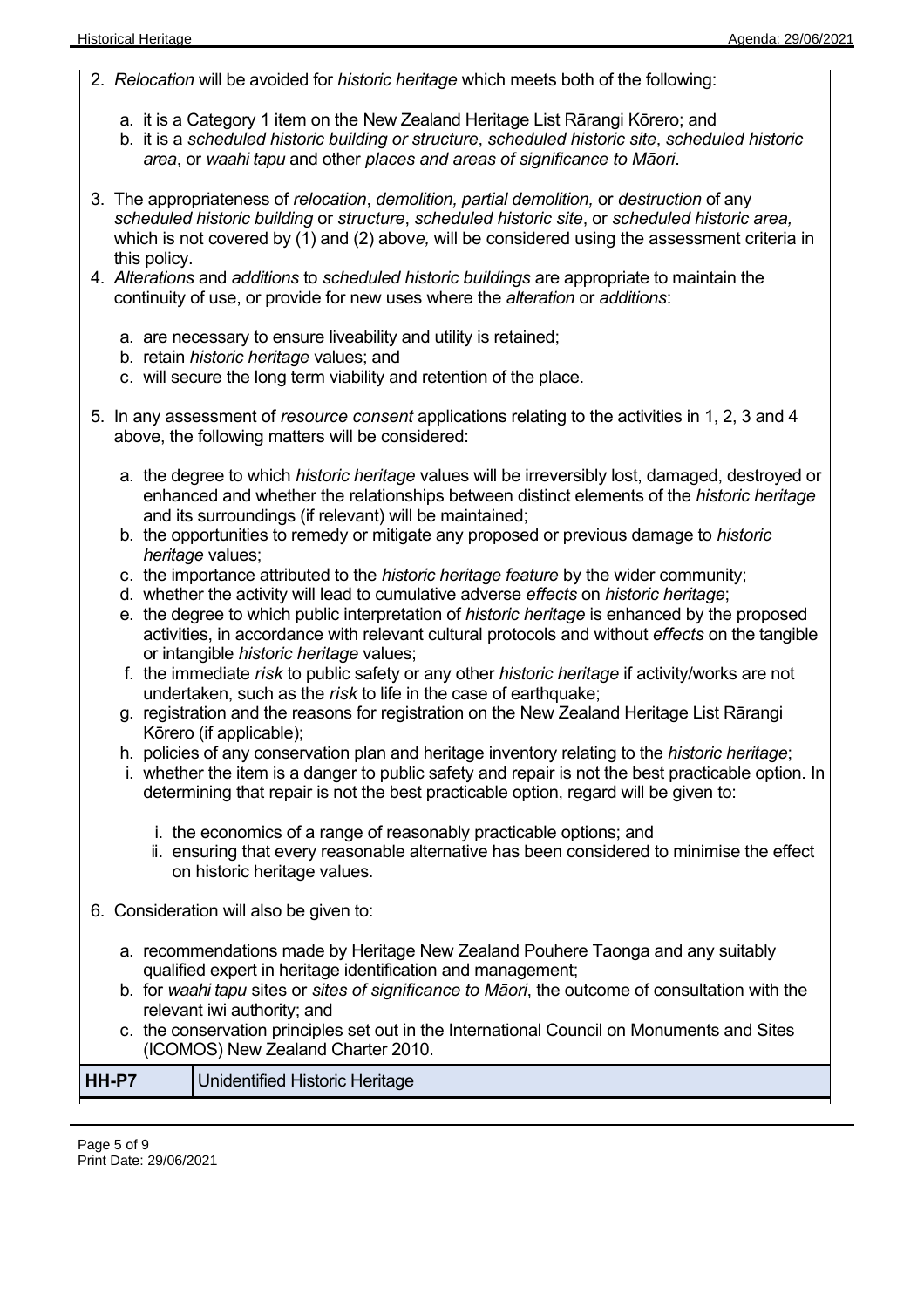- 2. *Relocation* will be avoided for *historic heritage* which meets both of the following:
	- a. it is a Category 1 item on the New Zealand Heritage List Rārangi Kōrero; and
	- b. it is a *scheduled historic building or structure*, *scheduled historic site*, *scheduled historic area*, or *waahi tapu* and other *places and areas of significance to Māori*.
- 3. The appropriateness of *relocation*, *demolition, partial demolition,* or *destruction* of any *scheduled historic building* or *structure*, *scheduled historic site*, or *scheduled historic area,* which is not covered by (1) and (2) abov*e,* will be considered using the assessment criteria in this policy.
- 4. *Alterations* and *additions* to *scheduled historic buildings* are appropriate to maintain the continuity of use, or provide for new uses where the *alteration* or *additions*:
	- a. are necessary to ensure liveability and utility is retained;
	- b. retain *historic heritage* values; and
	- c. will secure the long term viability and retention of the place.
- 5. In any assessment of *resource consent* applications relating to the activities in 1, 2, 3 and 4 above, the following matters will be considered:
	- a. the degree to which *historic heritage* values will be irreversibly lost, damaged, destroyed or enhanced and whether the relationships between distinct elements of the *historic heritage* and its surroundings (if relevant) will be maintained;
	- b. the opportunities to remedy or mitigate any proposed or previous damage to *historic heritage* values;
	- c. the importance attributed to the *historic heritage feature* by the wider community;
	- d. whether the activity will lead to cumulative adverse *effects* on *historic heritage*;
	- e. the degree to which public interpretation of *historic heritage* is enhanced by the proposed activities, in accordance with relevant cultural protocols and without *effects* on the tangible or intangible *historic heritage* values;
	- f. the immediate *risk* to public safety or any other *historic heritage* if activity/works are not undertaken, such as the *risk* to life in the case of earthquake;
	- g. registration and the reasons for registration on the New Zealand Heritage List Rārangi Kōrero (if applicable);
	- h. policies of any conservation plan and heritage inventory relating to the *historic heritage*;
	- i. whether the item is a danger to public safety and repair is not the best practicable option. In determining that repair is not the best practicable option, regard will be given to:
		- i. the economics of a range of reasonably practicable options; and
		- ii. ensuring that every reasonable alternative has been considered to minimise the effect on historic heritage values.
- 6. Consideration will also be given to:
	- a. recommendations made by Heritage New Zealand Pouhere Taonga and any suitably qualified expert in heritage identification and management;
	- b. for *waahi tapu* sites or *sites of significance to Māori*, the outcome of consultation with the relevant iwi authority; and
	- c. the conservation principles set out in the International Council on Monuments and Sites (ICOMOS) New Zealand Charter 2010.

|--|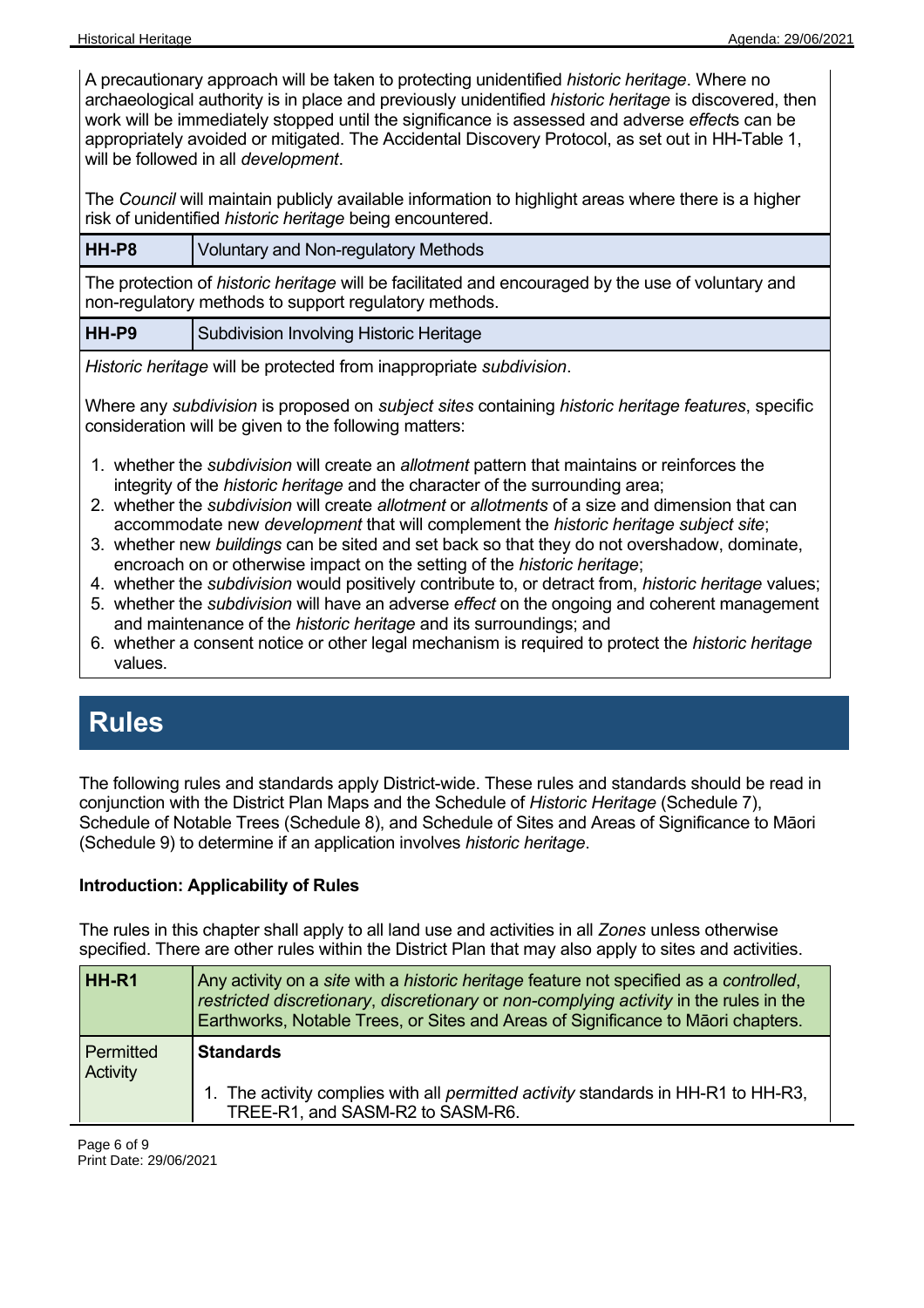A precautionary approach will be taken to protecting unidentified *historic heritage*. Where no archaeological authority is in place and previously unidentified *historic heritage* is discovered, then work will be immediately stopped until the significance is assessed and adverse *effect*s can be appropriately avoided or mitigated. The Accidental Discovery Protocol, as set out in HH-Table 1, will be followed in all *development*.

The *Council* will maintain publicly available information to highlight areas where there is a higher risk of unidentified *historic heritage* being encountered.

### **HH-P8** Voluntary and Non-regulatory Methods

The protection of *historic heritage* will be facilitated and encouraged by the use of voluntary and non-regulatory methods to support regulatory methods.

**HH-P9** Subdivision Involving Historic Heritage

*Historic heritage* will be protected from inappropriate *subdivision*.

Where any *subdivision* is proposed on *subject sites* containing *historic heritage features*, specific consideration will be given to the following matters:

- 1. whether the *subdivision* will create an *allotment* pattern that maintains or reinforces the integrity of the *historic heritage* and the character of the surrounding area;
- 2. whether the *subdivision* will create *allotment* or *allotments* of a size and dimension that can accommodate new *development* that will complement the *historic heritage subject site*;
- 3. whether new *buildings* can be sited and set back so that they do not overshadow, dominate, encroach on or otherwise impact on the setting of the *historic heritage*;
- 4. whether the *subdivision* would positively contribute to, or detract from, *historic heritage* values;
- 5. whether the *subdivision* will have an adverse *effect* on the ongoing and coherent management and maintenance of the *historic heritage* and its surroundings; and
- 6. whether a consent notice or other legal mechanism is required to protect the *historic heritage* values.

### **Rules**

The following rules and standards apply District-wide. These rules and standards should be read in conjunction with the District Plan Maps and the Schedule of *Historic Heritage* (Schedule 7), Schedule of Notable Trees (Schedule 8), and Schedule of Sites and Areas of Significance to Māori (Schedule 9) to determine if an application involves *historic heritage*.

### **Introduction: Applicability of Rules**

The rules in this chapter shall apply to all land use and activities in all *Zones* unless otherwise specified. There are other rules within the District Plan that may also apply to sites and activities.

| HH-R1                 | Any activity on a site with a historic heritage feature not specified as a controlled,<br>restricted discretionary, discretionary or non-complying activity in the rules in the<br>Earthworks, Notable Trees, or Sites and Areas of Significance to Maori chapters. |
|-----------------------|---------------------------------------------------------------------------------------------------------------------------------------------------------------------------------------------------------------------------------------------------------------------|
| Permitted<br>Activity | <b>Standards</b><br>1. The activity complies with all permitted activity standards in HH-R1 to HH-R3.<br>TREE-R1, and SASM-R2 to SASM-R6.                                                                                                                           |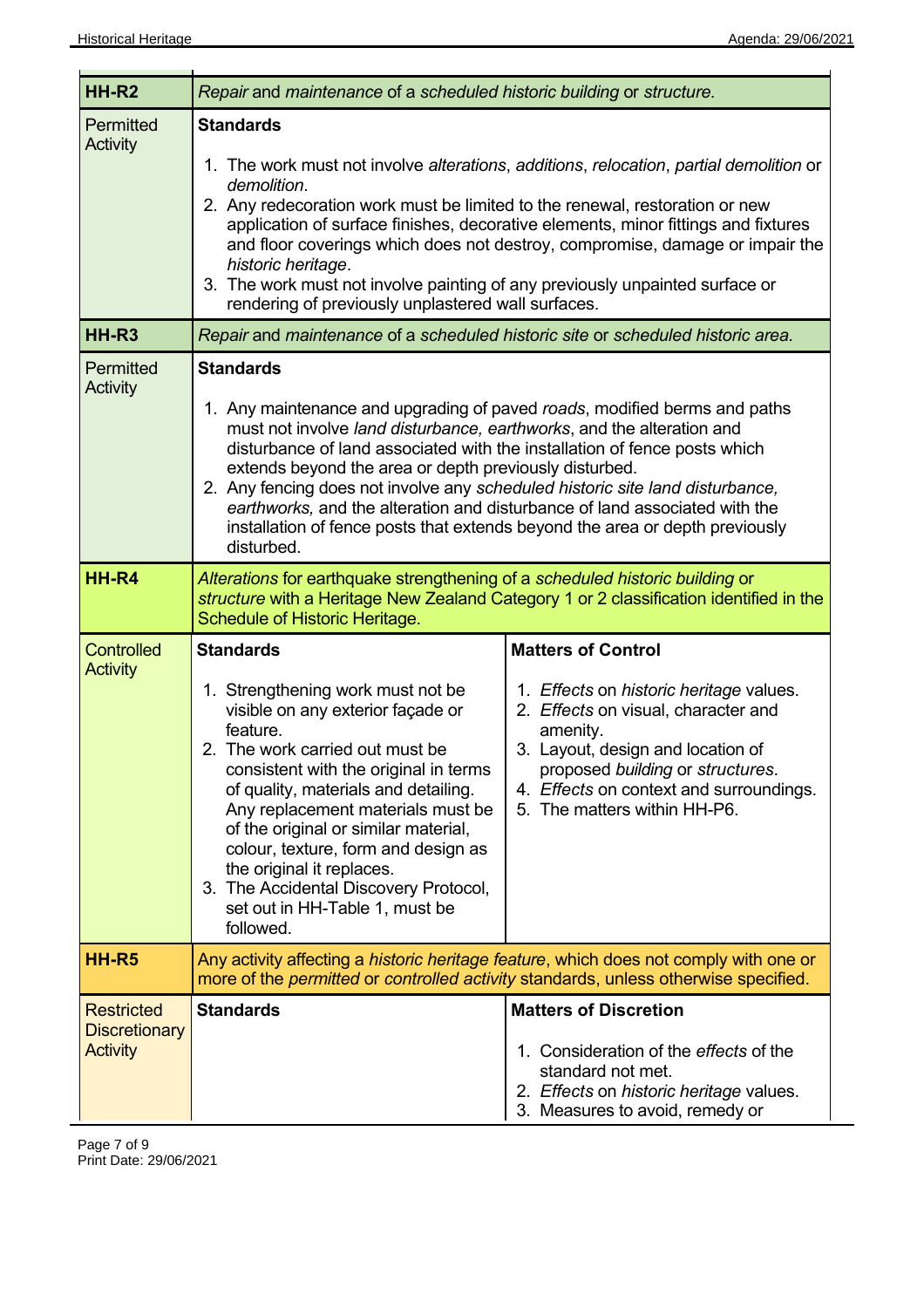| HH-R <sub>2</sub>                                            | Repair and maintenance of a scheduled historic building or structure.                                                                                                                                                                                                                                                                                                                                                                                                                      |                                                                                                                                                                                                                                                                             |
|--------------------------------------------------------------|--------------------------------------------------------------------------------------------------------------------------------------------------------------------------------------------------------------------------------------------------------------------------------------------------------------------------------------------------------------------------------------------------------------------------------------------------------------------------------------------|-----------------------------------------------------------------------------------------------------------------------------------------------------------------------------------------------------------------------------------------------------------------------------|
| Permitted<br><b>Activity</b>                                 | <b>Standards</b><br>demolition.<br>2. Any redecoration work must be limited to the renewal, restoration or new<br>historic heritage.<br>3. The work must not involve painting of any previously unpainted surface or<br>rendering of previously unplastered wall surfaces.                                                                                                                                                                                                                 | 1. The work must not involve alterations, additions, relocation, partial demolition or<br>application of surface finishes, decorative elements, minor fittings and fixtures<br>and floor coverings which does not destroy, compromise, damage or impair the                 |
| HH-R <sub>3</sub>                                            | Repair and maintenance of a scheduled historic site or scheduled historic area.                                                                                                                                                                                                                                                                                                                                                                                                            |                                                                                                                                                                                                                                                                             |
| Permitted<br><b>Activity</b>                                 | <b>Standards</b><br>1. Any maintenance and upgrading of paved roads, modified berms and paths<br>must not involve land disturbance, earthworks, and the alteration and<br>disturbance of land associated with the installation of fence posts which<br>extends beyond the area or depth previously disturbed.<br>2. Any fencing does not involve any scheduled historic site land disturbance,<br>earthworks, and the alteration and disturbance of land associated with the<br>disturbed. | installation of fence posts that extends beyond the area or depth previously                                                                                                                                                                                                |
| HH-R4                                                        | Alterations for earthquake strengthening of a scheduled historic building or<br>structure with a Heritage New Zealand Category 1 or 2 classification identified in the<br>Schedule of Historic Heritage.                                                                                                                                                                                                                                                                                   |                                                                                                                                                                                                                                                                             |
| <b>Controlled</b><br><b>Activity</b>                         | <b>Standards</b><br>1. Strengthening work must not be<br>visible on any exterior façade or<br>feature.<br>2. The work carried out must be<br>consistent with the original in terms<br>of quality, materials and detailing.<br>Any replacement materials must be<br>of the original or similar material,<br>colour, texture, form and design as<br>the original it replaces.<br>3. The Accidental Discovery Protocol,<br>set out in HH-Table 1, must be<br>followed.                        | <b>Matters of Control</b><br>1. Effects on historic heritage values.<br>2. Effects on visual, character and<br>amenity.<br>3. Layout, design and location of<br>proposed building or structures.<br>4. Effects on context and surroundings.<br>5. The matters within HH-P6. |
| HH-R5                                                        |                                                                                                                                                                                                                                                                                                                                                                                                                                                                                            | Any activity affecting a <i>historic heritage feature</i> , which does not comply with one or<br>more of the <i>permitted</i> or <i>controlled activity</i> standards, unless otherwise specified.                                                                          |
| <b>Restricted</b><br><b>Discretionary</b><br><b>Activity</b> | <b>Standards</b>                                                                                                                                                                                                                                                                                                                                                                                                                                                                           | <b>Matters of Discretion</b><br>1. Consideration of the effects of the<br>standard not met.<br>2. Effects on historic heritage values.<br>3. Measures to avoid, remedy or                                                                                                   |

 $\overline{\phantom{a}}$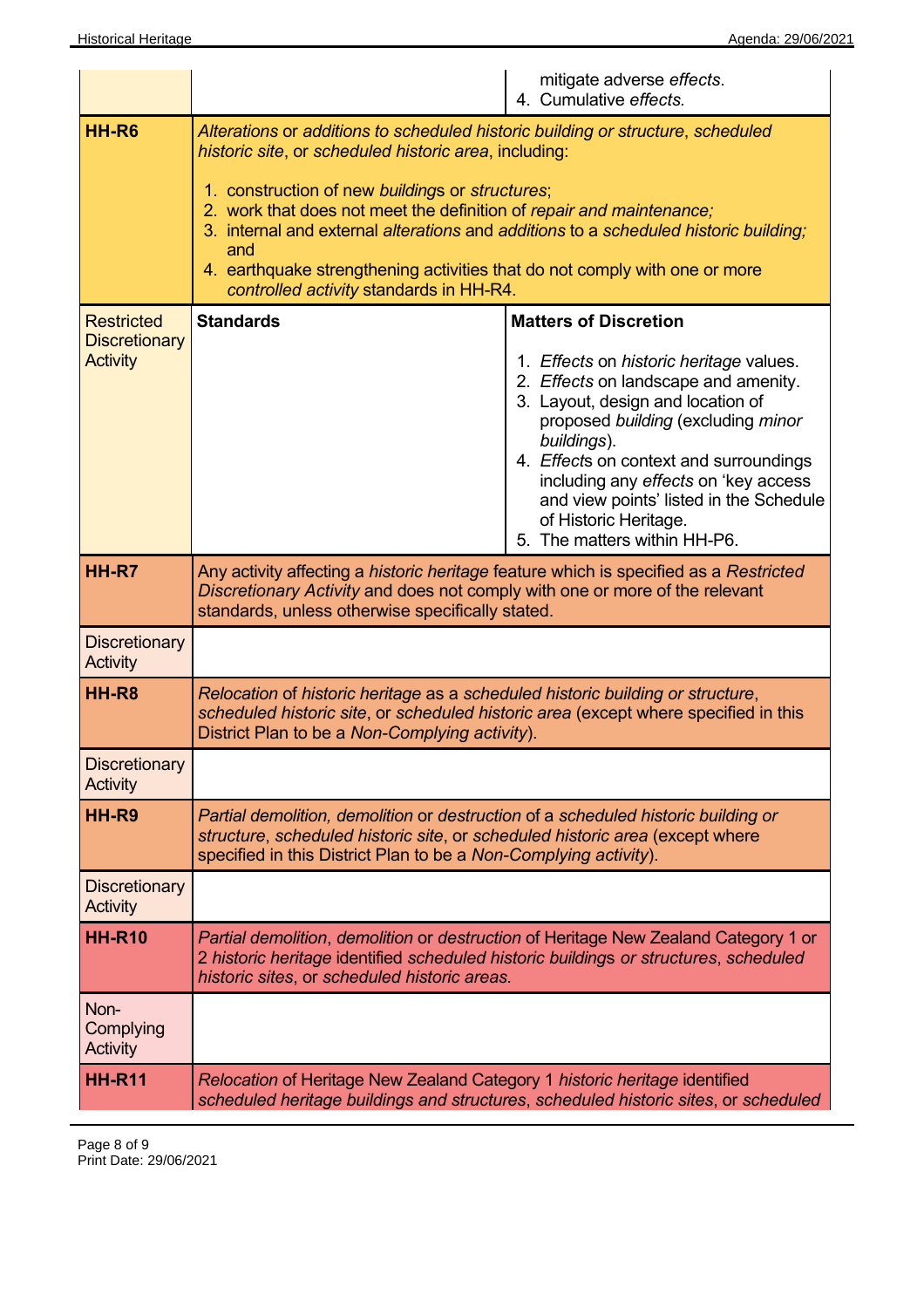|                                                              | mitigate adverse effects.<br>4. Cumulative effects.                                                                                                                                                                                                                                                                                                                                                                                                                                         |  |
|--------------------------------------------------------------|---------------------------------------------------------------------------------------------------------------------------------------------------------------------------------------------------------------------------------------------------------------------------------------------------------------------------------------------------------------------------------------------------------------------------------------------------------------------------------------------|--|
| <b>HH-R6</b>                                                 | Alterations or additions to scheduled historic building or structure, scheduled<br>historic site, or scheduled historic area, including:<br>1. construction of new buildings or structures;<br>2. work that does not meet the definition of repair and maintenance;<br>3. internal and external alterations and additions to a scheduled historic building;<br>and<br>4. earthquake strengthening activities that do not comply with one or more<br>controlled activity standards in HH-R4. |  |
| <b>Restricted</b><br><b>Discretionary</b><br><b>Activity</b> | <b>Standards</b><br><b>Matters of Discretion</b><br>1. Effects on historic heritage values.<br>2. Effects on landscape and amenity.<br>3. Layout, design and location of<br>proposed building (excluding minor<br>buildings).<br>4. Effects on context and surroundings<br>including any effects on 'key access<br>and view points' listed in the Schedule<br>of Historic Heritage.<br>5. The matters within HH-P6.                                                                         |  |
| <b>HH-R7</b>                                                 | Any activity affecting a <i>historic heritage</i> feature which is specified as a Restricted<br>Discretionary Activity and does not comply with one or more of the relevant<br>standards, unless otherwise specifically stated.                                                                                                                                                                                                                                                             |  |
| <b>Discretionary</b><br><b>Activity</b>                      |                                                                                                                                                                                                                                                                                                                                                                                                                                                                                             |  |
| <b>HH-R8</b>                                                 | Relocation of historic heritage as a scheduled historic building or structure,<br>scheduled historic site, or scheduled historic area (except where specified in this<br>District Plan to be a Non-Complying activity).                                                                                                                                                                                                                                                                     |  |
| <b>Discretionary</b><br>Activity                             |                                                                                                                                                                                                                                                                                                                                                                                                                                                                                             |  |
| HH-R9                                                        | Partial demolition, demolition or destruction of a scheduled historic building or<br>structure, scheduled historic site, or scheduled historic area (except where<br>specified in this District Plan to be a Non-Complying activity).                                                                                                                                                                                                                                                       |  |
| <b>Discretionary</b><br>Activity                             |                                                                                                                                                                                                                                                                                                                                                                                                                                                                                             |  |
| <b>HH-R10</b>                                                | Partial demolition, demolition or destruction of Heritage New Zealand Category 1 or<br>2 historic heritage identified scheduled historic buildings or structures, scheduled<br>historic sites, or scheduled historic areas.                                                                                                                                                                                                                                                                 |  |
| Non-<br>Complying<br>Activity                                |                                                                                                                                                                                                                                                                                                                                                                                                                                                                                             |  |
| <b>HH-R11</b>                                                | Relocation of Heritage New Zealand Category 1 historic heritage identified<br>scheduled heritage buildings and structures, scheduled historic sites, or scheduled                                                                                                                                                                                                                                                                                                                           |  |